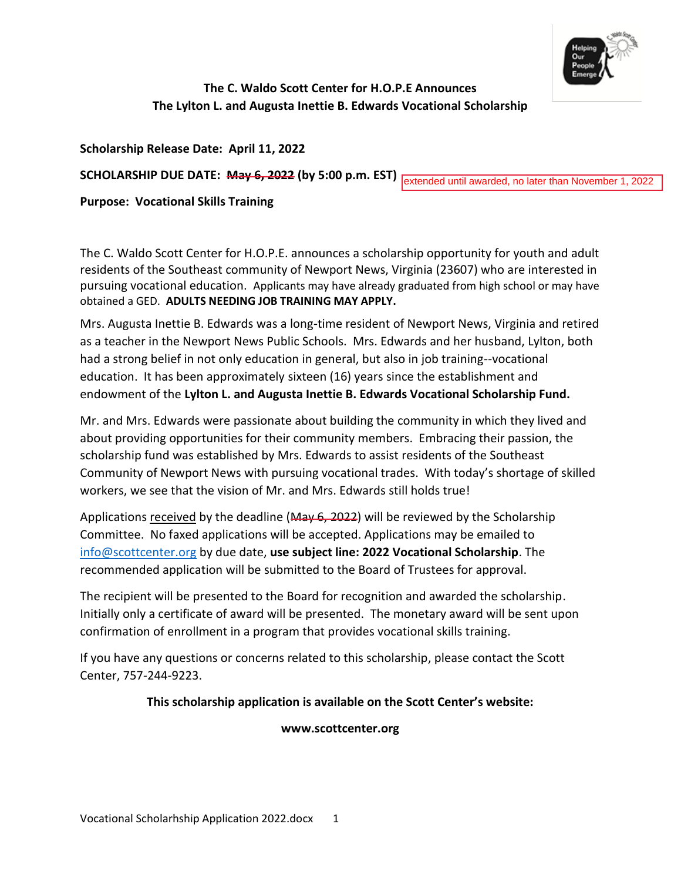

# **The C. Waldo Scott Center for H.O.P.E Announces The Lylton L. and Augusta Inettie B. Edwards Vocational Scholarship**

**Scholarship Release Date: April 11, 2022**

**SCHOLARSHIP DUE DATE: May 6, 2022 (by 5:00 p.m. EST)**

extended until awarded, no later than November 1, 2022

**Purpose: Vocational Skills Training** 

The C. Waldo Scott Center for H.O.P.E. announces a scholarship opportunity for youth and adult residents of the Southeast community of Newport News, Virginia (23607) who are interested in pursuing vocational education. Applicants may have already graduated from high school or may have obtained a GED. **ADULTS NEEDING JOB TRAINING MAY APPLY.**

Mrs. Augusta Inettie B. Edwards was a long-time resident of Newport News, Virginia and retired as a teacher in the Newport News Public Schools. Mrs. Edwards and her husband, Lylton, both had a strong belief in not only education in general, but also in job training--vocational education. It has been approximately sixteen (16) years since the establishment and endowment of the **Lylton L. and Augusta Inettie B. Edwards Vocational Scholarship Fund.** 

Mr. and Mrs. Edwards were passionate about building the community in which they lived and about providing opportunities for their community members. Embracing their passion, the scholarship fund was established by Mrs. Edwards to assist residents of the Southeast Community of Newport News with pursuing vocational trades. With today's shortage of skilled workers, we see that the vision of Mr. and Mrs. Edwards still holds true!

Applications received by the deadline (May 6, 2022) will be reviewed by the Scholarship Committee. No faxed applications will be accepted. Applications may be emailed to [info@scottcenter.org](mailto:info@scottcenter.org) by due date, **use subject line: 2022 Vocational Scholarship**. The recommended application will be submitted to the Board of Trustees for approval.

The recipient will be presented to the Board for recognition and awarded the scholarship. Initially only a certificate of award will be presented. The monetary award will be sent upon confirmation of enrollment in a program that provides vocational skills training.

If you have any questions or concerns related to this scholarship, please contact the Scott Center, 757-244-9223.

# **This scholarship application is available on the Scott Center's website:**

# **www.scottcenter.org**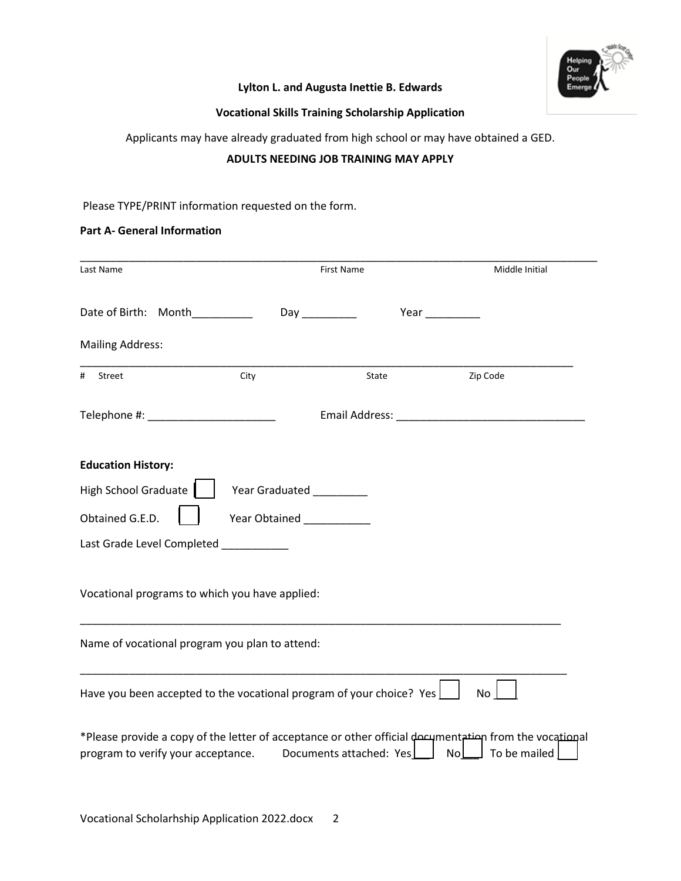

# **Lylton L. and Augusta Inettie B. Edwards**

# **Vocational Skills Training Scholarship Application**

Applicants may have already graduated from high school or may have obtained a GED.

## **ADULTS NEEDING JOB TRAINING MAY APPLY**

## Please TYPE/PRINT information requested on the form.

#### **Part A- General Information**

| Last Name                                                                                                                                                                                               |                                 | First Name | Middle Initial                                                                                                                                                                                                                 |  |
|---------------------------------------------------------------------------------------------------------------------------------------------------------------------------------------------------------|---------------------------------|------------|--------------------------------------------------------------------------------------------------------------------------------------------------------------------------------------------------------------------------------|--|
|                                                                                                                                                                                                         |                                 |            |                                                                                                                                                                                                                                |  |
| Date of Birth: Month                                                                                                                                                                                    |                                 |            | Year                                                                                                                                                                                                                           |  |
| <b>Mailing Address:</b>                                                                                                                                                                                 |                                 |            |                                                                                                                                                                                                                                |  |
| #<br>Street                                                                                                                                                                                             | City                            | State      | Zip Code                                                                                                                                                                                                                       |  |
|                                                                                                                                                                                                         |                                 |            | Email Address: North and Senator and Senator and Senator and Senator and Senator Annual Senator and Senator Annual Senator Annual Senator Annual Senator Annual Senator Annual Senator Annual Senator Annual Senator Annual Se |  |
| <b>Education History:</b>                                                                                                                                                                               |                                 |            |                                                                                                                                                                                                                                |  |
| <b>High School Graduate</b>                                                                                                                                                                             | <b>Year Graduated</b>           |            |                                                                                                                                                                                                                                |  |
| Obtained G.E.D.                                                                                                                                                                                         | Year Obtained<br><u>Learned</u> |            |                                                                                                                                                                                                                                |  |
| Last Grade Level Completed                                                                                                                                                                              |                                 |            |                                                                                                                                                                                                                                |  |
|                                                                                                                                                                                                         |                                 |            |                                                                                                                                                                                                                                |  |
| Vocational programs to which you have applied:                                                                                                                                                          |                                 |            |                                                                                                                                                                                                                                |  |
| Name of vocational program you plan to attend:                                                                                                                                                          |                                 |            |                                                                                                                                                                                                                                |  |
| Have you been accepted to the vocational program of your choice? Yes                                                                                                                                    |                                 |            | <b>No</b>                                                                                                                                                                                                                      |  |
| *Please provide a copy of the letter of acceptance or other official decument in from the vocational<br>program to verify your acceptance.<br>Documents attached: Yes<br>N <sub>o</sub><br>To be mailed |                                 |            |                                                                                                                                                                                                                                |  |